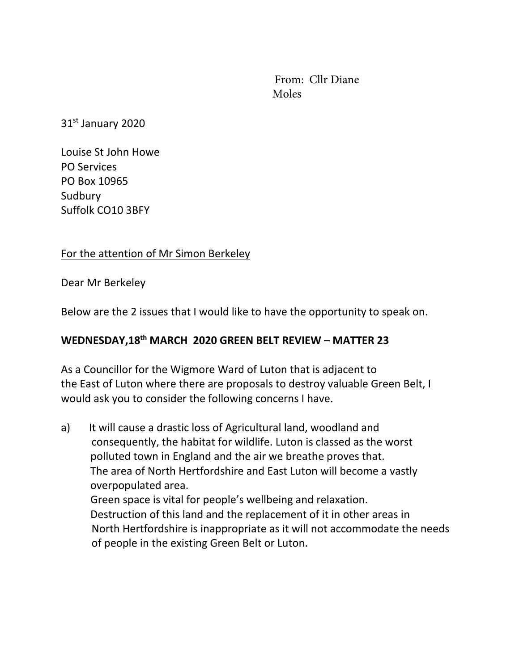From: Cllr Diane Moles

31st January 2020

Louise St John Howe PO Services PO Box 10965 Sudbury Suffolk CO10 3BFY

## For the attention of Mr Simon Berkeley

Dear Mr Berkeley

Below are the 2 issues that I would like to have the opportunity to speak on.

## **WEDNESDAY,18th MARCH 2020 GREEN BELT REVIEW – MATTER 23**

As a Councillor for the Wigmore Ward of Luton that is adjacent to the East of Luton where there are proposals to destroy valuable Green Belt, I would ask you to consider the following concerns I have.

a) It will cause a drastic loss of Agricultural land, woodland and consequently, the habitat for wildlife. Luton is classed as the worst polluted town in England and the air we breathe proves that. The area of North Hertfordshire and East Luton will become a vastly overpopulated area. Green space is vital for people's wellbeing and relaxation. Destruction of this land and the replacement of it in other areas in North Hertfordshire is inappropriate as it will not accommodate the needs of people in the existing Green Belt or Luton.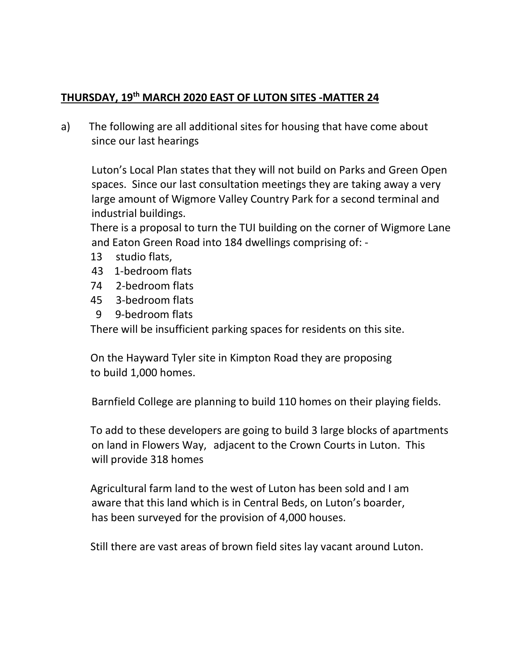## **THURSDAY, 19 th MARCH 2020 EAST OF LUTON SITES -MATTER 24**

a) The following are all additional sites for housing that have come about since our last hearings

Luton's Local Plan states that they will not build on Parks and Green Open spaces. Since our last consultation meetings they are taking away a very large amount of Wigmore Valley Country Park for a second terminal and industrial buildings.

 There is a proposal to turn the TUI building on the corner of Wigmore Lane and Eaton Green Road into 184 dwellings comprising of: -

- 13 studio flats,
- 43 1-bedroom flats
- 74 2-bedroom flats
- 45 3-bedroom flats
- 9 9-bedroom flats

There will be insufficient parking spaces for residents on this site.

 On the Hayward Tyler site in Kimpton Road they are proposing to build 1,000 homes.

Barnfield College are planning to build 110 homes on their playing fields.

 To add to these developers are going to build 3 large blocks of apartments on land in Flowers Way, adjacent to the Crown Courts in Luton. This will provide 318 homes

 Agricultural farm land to the west of Luton has been sold and I am aware that this land which is in Central Beds, on Luton's boarder, has been surveyed for the provision of 4,000 houses.

Still there are vast areas of brown field sites lay vacant around Luton.